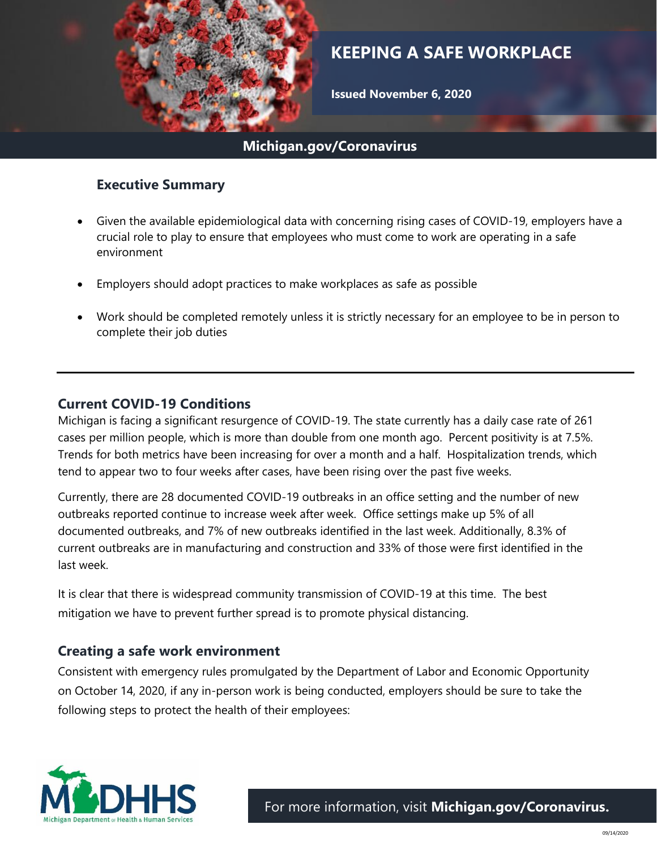

# **KEEPING A SAFE WORKPLACE**

**Issued November 6, 2020**

## **Michigan.gov/Coronavirus**

### **Executive Summary**

- Given the available epidemiological data with concerning rising cases of COVID-19, employers have a crucial role to play to ensure that employees who must come to work are operating in a safe environment
- Employers should adopt practices to make workplaces as safe as possible
- Work should be completed remotely unless it is strictly necessary for an employee to be in person to complete their job duties

#### **Current COVID-19 Conditions**

Michigan is facing a significant resurgence of COVID-19. The state currently has a daily case rate of 261 cases per million people, which is more than double from one month ago. Percent positivity is at 7.5%. Trends for both metrics have been increasing for over a month and a half. Hospitalization trends, which tend to appear two to four weeks after cases, have been rising over the past five weeks.

Currently, there are 28 documented COVID-19 outbreaks in an office setting and the number of new outbreaks reported continue to increase week after week. Office settings make up 5% of all documented outbreaks, and 7% of new outbreaks identified in the last week. Additionally, 8.3% of current outbreaks are in manufacturing and construction and 33% of those were first identified in the last week.

It is clear that there is widespread community transmission of COVID-19 at this time. The best mitigation we have to prevent further spread is to promote physical distancing.

## **Creating a safe work environment**

Consistent with emergency rules promulgated by the Department of Labor and Economic Opportunity on October 14, 2020, if any in-person work is being conducted, employers should be sure to take the following steps to protect the health of their employees:

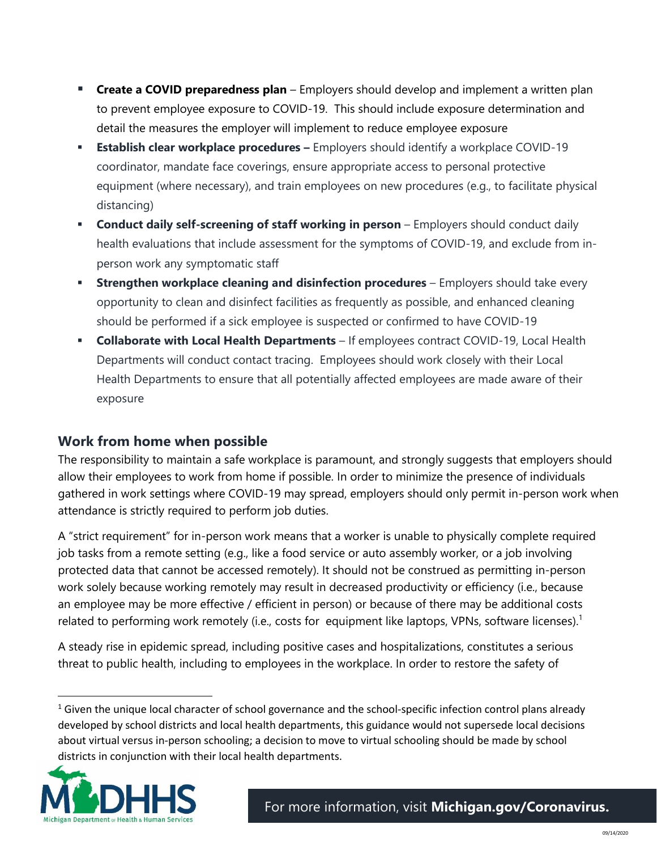- **EXTER 44 COVID preparedness plan** Employers should develop and implement a written plan to prevent employee exposure to COVID-19. This should include exposure determination and detail the measures the employer will implement to reduce employee exposure
- **Establish clear workplace procedures -** Employers should identify a workplace COVID-19 coordinator, mandate face coverings, ensure appropriate access to personal protective equipment (where necessary), and train employees on new procedures (e.g., to facilitate physical distancing)
- **Conduct daily self-screening of staff working in person** Employers should conduct daily health evaluations that include assessment for the symptoms of COVID-19, and exclude from inperson work any symptomatic staff
- **Extrengthen workplace cleaning and disinfection procedures** Employers should take every opportunity to clean and disinfect facilities as frequently as possible, and enhanced cleaning should be performed if a sick employee is suspected or confirmed to have COVID-19
- **Collaborate with Local Health Departments**  If employees contract COVID-19, Local Health Departments will conduct contact tracing. Employees should work closely with their Local Health Departments to ensure that all potentially affected employees are made aware of their exposure

## **Work from home when possible**

The responsibility to maintain a safe workplace is paramount, and strongly suggests that employers should allow their employees to work from home if possible. In order to minimize the presence of individuals gathered in work settings where COVID-19 may spread, employers should only permit in-person work when attendance is strictly required to perform job duties.

A "strict requirement" for in-person work means that a worker is unable to physically complete required job tasks from a remote setting (e.g., like a food service or auto assembly worker, or a job involving protected data that cannot be accessed remotely). It should not be construed as permitting in-person work solely because working remotely may result in decreased productivity or efficiency (i.e., because an employee may be more effective / efficient in person) or because of there may be additional costs related to performing work remotely (i.e., costs for equipment like laptops, VPNs, software licenses).<sup>1</sup>

A steady rise in epidemic spread, including positive cases and hospitalizations, constitutes a serious threat to public health, including to employees in the workplace. In order to restore the safety of

 $1$  Given the unique local character of school governance and the school-specific infection control plans already developed by school districts and local health departments, this guidance would not supersede local decisions about virtual versus in-person schooling; a decision to move to virtual schooling should be made by school districts in conjunction with their local health departments.